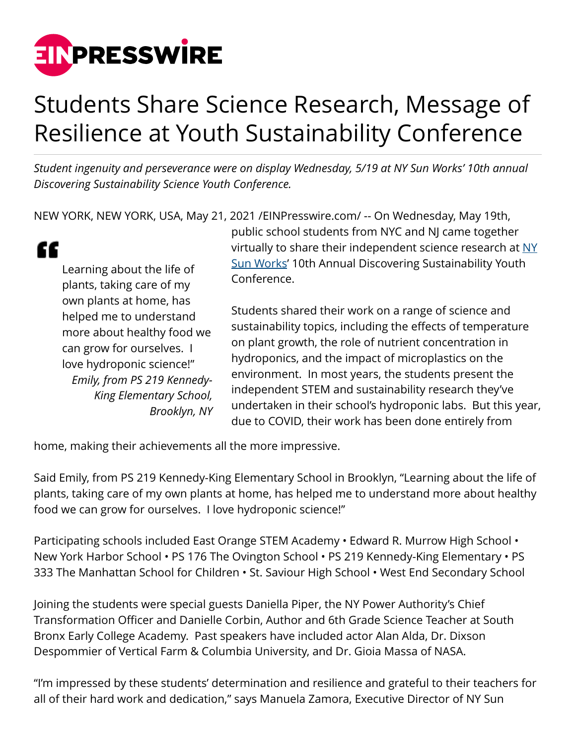

## Students Share Science Research, Message of Resilience at Youth Sustainability Conference

*Student ingenuity and perseverance were on display Wednesday, 5/19 at NY Sun Works' 10th annual Discovering Sustainability Science Youth Conference.*

NEW YORK, NEW YORK, USA, May 21, 2021 [/EINPresswire.com/](http://www.einpresswire.com) -- On Wednesday, May 19th,

| Learning about the life of  |
|-----------------------------|
| plants, taking care of my   |
| own plants at home, has     |
| helped me to understand     |
| more about healthy food we  |
| can grow for ourselves. I   |
| love hydroponic science!"   |
| Emily, from PS 219 Kennedy- |
| King Elementary School,     |
| Brooklyn, NY                |

c

public school students from NYC and NJ came together virtually to share their independent science research at  $NY$ [Sun Works](https://nysunworks.org/)' 10th Annual Discovering Sustainability Youth Conference.

Students shared their work on a range of science and sustainability topics, including the effects of temperature on plant growth, the role of nutrient concentration in hydroponics, and the impact of microplastics on the environment. In most years, the students present the independent STEM and sustainability research they've undertaken in their school's hydroponic labs. But this year, due to COVID, their work has been done entirely from

home, making their achievements all the more impressive.

Said Emily, from PS 219 Kennedy-King Elementary School in Brooklyn, "Learning about the life of plants, taking care of my own plants at home, has helped me to understand more about healthy food we can grow for ourselves. I love hydroponic science!"

Participating schools included East Orange STEM Academy • Edward R. Murrow High School • New York Harbor School • PS 176 The Ovington School • PS 219 Kennedy-King Elementary • PS 333 The Manhattan School for Children • St. Saviour High School • West End Secondary School

Joining the students were special guests Daniella Piper, the NY Power Authority's Chief Transformation Officer and Danielle Corbin, Author and 6th Grade Science Teacher at South Bronx Early College Academy. Past speakers have included actor Alan Alda, Dr. Dixson Despommier of Vertical Farm & Columbia University, and Dr. Gioia Massa of NASA.

"I'm impressed by these students' determination and resilience and grateful to their teachers for all of their hard work and dedication," says Manuela Zamora, Executive Director of NY Sun